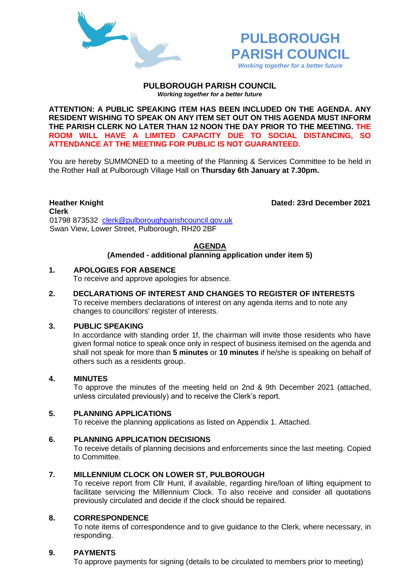



#### **PULBOROUGH PARISH COUNCIL** *Working together for a better future*

**ATTENTION: A PUBLIC SPEAKING ITEM HAS BEEN INCLUDED ON THE AGENDA. ANY RESIDENT WISHING TO SPEAK ON ANY ITEM SET OUT ON THIS AGENDA MUST INFORM THE PARISH CLERK NO LATER THAN 12 NOON THE DAY PRIOR TO THE MEETING. THE ROOM WILL HAVE A LIMITED CAPACITY DUE TO SOCIAL DISTANCING, SO ATTENDANCE AT THE MEETING FOR PUBLIC IS NOT GUARANTEED.**

You are hereby SUMMONED to a meeting of the Planning & Services Committee to be held in the Rother Hall at Pulborough Village Hall on **Thursday 6th January at 7.30pm.** 

**Heather Knight Dated: 23rd December 2021 Clerk**  01798 873532 [clerk@pulboroughparishcouncil.gov.uk](mailto:clerk@pulboroughparishcouncil.gov.uk) Swan View, Lower Street, Pulborough, RH20 2BF

# **AGENDA**

## **(Amended - additional planning application under item 5)**

## **1. APOLOGIES FOR ABSENCE**

To receive and approve apologies for absence.

**2. DECLARATIONS OF INTEREST AND CHANGES TO REGISTER OF INTERESTS** To receive members declarations of interest on any agenda items and to note any changes to councillors' register of interests.

### **3. PUBLIC SPEAKING**

In accordance with standing order 1f, the chairman will invite those residents who have given formal notice to speak once only in respect of business itemised on the agenda and shall not speak for more than **5 minutes** or **10 minutes** if he/she is speaking on behalf of others such as a residents group.

### **4. MINUTES**

To approve the minutes of the meeting held on 2nd & 9th December 2021 (attached, unless circulated previously) and to receive the Clerk's report.

### **5. PLANNING APPLICATIONS**

To receive the planning applications as listed on Appendix 1. Attached.

### **6. PLANNING APPLICATION DECISIONS**

To receive details of planning decisions and enforcements since the last meeting. Copied to Committee.

### **7. MILLENNIUM CLOCK ON LOWER ST, PULBOROUGH**

To receive report from Cllr Hunt, if available, regarding hire/loan of lifting equipment to facilitate servicing the Millennium Clock. To also receive and consider all quotations previously circulated and decide if the clock should be repaired.

## **8. CORRESPONDENCE**

To note items of correspondence and to give guidance to the Clerk, where necessary, in responding.

### **9. PAYMENTS**

To approve payments for signing (details to be circulated to members prior to meeting)